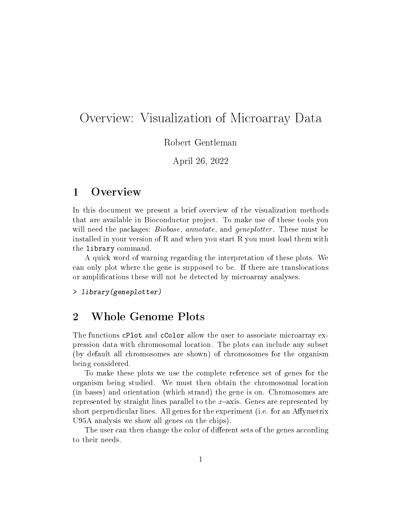## Overview: Visualization of Microarray Data

Robert Gentleman

April 26, 2022

## 1 Overview

In this document we present a brief overview of the visualization methods that are available in Bioconductor project. To make use of these tools you will need the packages: *Biobase*, annotate, and *geneplotter*. These must be installed in your version of R and when you start R you must load them with the library command.

A quick word of warning regarding the interpretation of these plots. We can only plot where the gene is supposed to be. If there are translocations or amplications these will not be detected by microarray analyses.

> library(geneplotter)

## 2 Whole Genome Plots

The functions cPlot and cColor allow the user to associate microarray expression data with chromosomal location. The plots can include any subset (by default all chromosomes are shown) of chromosomes for the organism being considered.

To make these plots we use the complete reference set of genes for the organism being studied. We must then obtain the chromosomal location (in bases) and orientation (which strand) the gene is on. Chromosomes are represented by straight lines parallel to the  $x$ -axis. Genes are represented by short perpendicular lines. All genes for the experiment (i.e. for an Affymetrix U95A analysis we show all genes on the chips).

The user can then change the color of different sets of the genes according to their needs.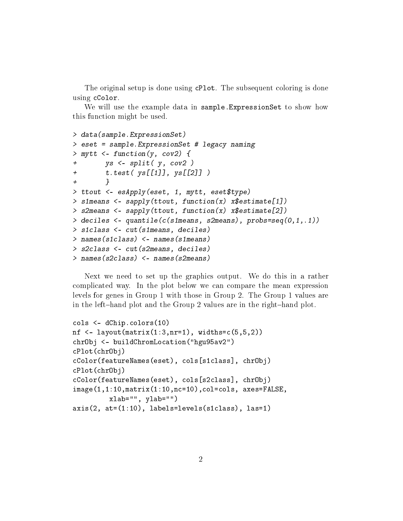The original setup is done using cPlot. The subsequent coloring is done using cColor.

We will use the example data in sample.ExpressionSet to show how this function might be used.

```
> data(sample.ExpressionSet)
> eset = sample.ExpressionSet # legacy naming
> mytt \leq function(y, cov2) {
+ ys <- split( y, cov2 )
+ t.test( ys[[1]], ys[[2]] )
+ }
> ttout <- esApply(eset, 1, mytt, eset$type)
> simeans <- sapply(ttout, function(x) x$estimate[1])
> s2means <- sapply(ttout, function(x) x$estimate[2])
> deciles <- quantile(c(s1means, s2means), probs=seq(0,1,.1))
> s1class <- cut(s1means, deciles)
> names(s1class) <- names(s1means)
> s2class <- cut(s2means, deciles)
> names(s2class) <- names(s2means)
```
Next we need to set up the graphics output. We do this in a rather complicated way. In the plot below we can compare the mean expression levels for genes in Group 1 with those in Group 2. The Group 1 values are in the left-hand plot and the Group 2 values are in the right-hand plot.

```
cols <- dChip.colors(10)
nf \leq layout(matrix(1:3,nr=1), widths=c(5,5,2))
chrObj <- buildChromLocation("hgu95av2")
cPlot(chrObj)
cColor(featureNames(eset), cols[s1class], chrObj)
cPlot(chrObj)
cColor(featureNames(eset), cols[s2class], chrObj)
image(1,1:10,matrix(1:10,nc=10),col=cols, axes=FALSE,
         xlab="", ylab="")axis(2, at=(1:10), labels=levels(s1class), las=1)
```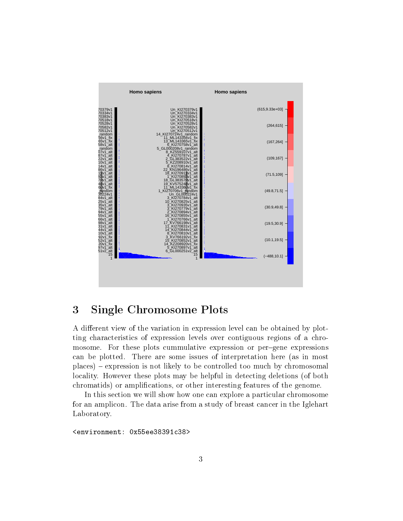

## 3 Single Chromosome Plots

A different view of the variation in expression level can be obtained by plotting characteristics of expression levels over contiguous regions of a chromosome. For these plots cummulative expression or per-gene expressions can be plotted. There are some issues of interpretation here (as in most places) expression is not likely to be controlled too much by chromosomal locality. However these plots may be helpful in detecting deletions (of both chromatids) or amplications, or other interesting features of the genome.

In this section we will show how one can explore a particular chromosome for an amplicon. The data arise from a study of breast cancer in the Iglehart Laboratory.

<environment: 0x55ee38391c38>